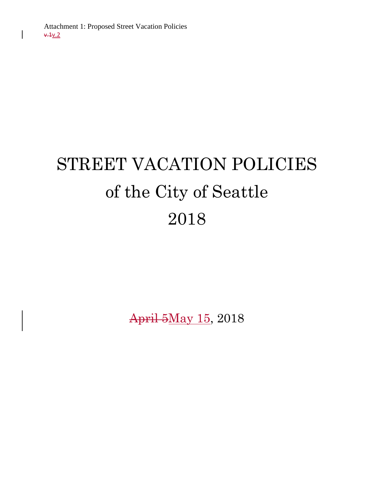# STREET VACATION POLICIES of the City of Seattle 2018

April 5May 15, 2018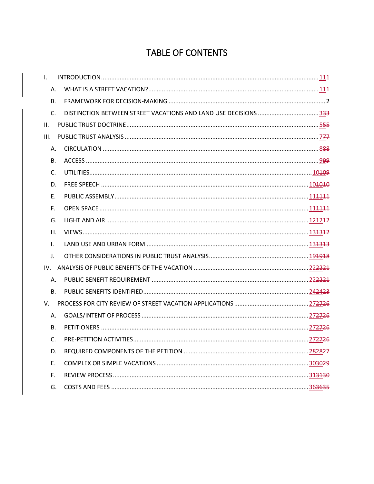# TABLE OF CONTENTS

| $\mathbf{L}$   |                                                                 |  |
|----------------|-----------------------------------------------------------------|--|
| Α.             |                                                                 |  |
| <b>B.</b>      |                                                                 |  |
| $C_{\cdot}$    | DISTINCTION BETWEEN STREET VACATIONS AND LAND USE DECISIONS 333 |  |
| II.            |                                                                 |  |
| III.           |                                                                 |  |
| Α.             |                                                                 |  |
| В.             |                                                                 |  |
| C.             |                                                                 |  |
| D.             |                                                                 |  |
| E.             |                                                                 |  |
| F.             |                                                                 |  |
| G.             |                                                                 |  |
| H.             |                                                                 |  |
| I.             |                                                                 |  |
| J.             |                                                                 |  |
|                |                                                                 |  |
| A.             |                                                                 |  |
| B <sub>1</sub> |                                                                 |  |
| V.             |                                                                 |  |
| А.             |                                                                 |  |
| <b>B.</b>      |                                                                 |  |
| $\mathsf{C}$ . |                                                                 |  |
| D.             |                                                                 |  |
| Ε.             |                                                                 |  |
| F.             |                                                                 |  |
| G.             |                                                                 |  |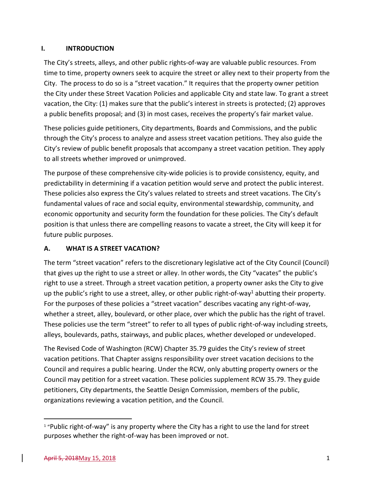#### <span id="page-2-0"></span>**I. INTRODUCTION**

The City's streets, alleys, and other public rights-of-way are valuable public resources. From time to time, property owners seek to acquire the street or alley next to their property from the City. The process to do so is a "street vacation." It requires that the property owner petition the City under these Street Vacation Policies and applicable City and state law. To grant a street vacation, the City: (1) makes sure that the public's interest in streets is protected; (2) approves a public benefits proposal; and (3) in most cases, receives the property's fair market value.

These policies guide petitioners, City departments, Boards and Commissions, and the public through the City's process to analyze and assess street vacation petitions. They also guide the City's review of public benefit proposals that accompany a street vacation petition. They apply to all streets whether improved or unimproved.

The purpose of these comprehensive city-wide policies is to provide consistency, equity, and predictability in determining if a vacation petition would serve and protect the public interest. These policies also express the City's values related to streets and street vacations. The City's fundamental values of race and social equity, environmental stewardship, community, and economic opportunity and security form the foundation for these policies. The City's default position is that unless there are compelling reasons to vacate a street, the City will keep it for future public purposes.

# <span id="page-2-1"></span>**A. WHAT IS A STREET VACATION?**

The term "street vacation" refers to the discretionary legislative act of the City Council (Council) that gives up the right to use a street or alley. In other words, the City "vacates" the public's right to use a street. Through a street vacation petition, a property owner asks the City to give up the public's right to use a street, alley, or other public right-of-way<sup>1</sup> abutting their property. For the purposes of these policies a "street vacation" describes vacating any right-of-way, whether a street, alley, boulevard, or other place, over which the public has the right of travel. These policies use the term "street" to refer to all types of public right-of-way including streets, alleys, boulevards, paths, stairways, and public places, whether developed or undeveloped.

The Revised Code of Washington (RCW) Chapter [35.79](http://app.leg.wa.gov/rcw/default.aspx?cite=35.79) guides the City's review of street vacation petitions. That Chapter assigns responsibility over street vacation decisions to the Council and requires a public hearing. Under the RCW, only abutting property owners or the Council may petition for a street vacation. These policies supplement RCW 35.79. They guide petitioners, City departments, the Seattle Design Commission, members of the public, organizations reviewing a vacation petition, and the Council.

 $\overline{\phantom{a}}$ 

<sup>&</sup>lt;sup>1</sup> "Public right-of-way" is any property where the City has a right to use the land for street purposes whether the right-of-way has been improved or not.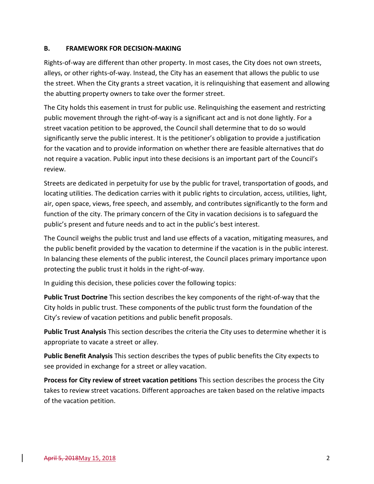#### <span id="page-3-0"></span>**B. FRAMEWORK FOR DECISION-MAKING**

Rights-of-way are different than other property. In most cases, the City does not own streets, alleys, or other rights-of-way. Instead, the City has an easement that allows the public to use the street. When the City grants a street vacation, it is relinquishing that easement and allowing the abutting property owners to take over the former street.

The City holds this easement in trust for public use. Relinquishing the easement and restricting public movement through the right-of-way is a significant act and is not done lightly. For a street vacation petition to be approved, the Council shall determine that to do so would significantly serve the public interest. It is the petitioner's obligation to provide a justification for the vacation and to provide information on whether there are feasible alternatives that do not require a vacation. Public input into these decisions is an important part of the Council's review.

Streets are dedicated in perpetuity for use by the public for travel, transportation of goods, and locating utilities. The dedication carries with it public rights to circulation, access, utilities, light, air, open space, views, free speech, and assembly, and contributes significantly to the form and function of the city. The primary concern of the City in vacation decisions is to safeguard the public's present and future needs and to act in the public's best interest.

The Council weighs the public trust and land use effects of a vacation, mitigating measures, and the public benefit provided by the vacation to determine if the vacation is in the public interest. In balancing these elements of the public interest, the Council places primary importance upon protecting the public trust it holds in the right-of-way.

In guiding this decision, these policies cover the following topics:

**Public Trust Doctrine** This section describes the key components of the right-of-way that the City holds in public trust. These components of the public trust form the foundation of the City's review of vacation petitions and public benefit proposals.

**Public Trust Analysis** This section describes the criteria the City uses to determine whether it is appropriate to vacate a street or alley.

**Public Benefit Analysis** This section describes the types of public benefits the City expects to see provided in exchange for a street or alley vacation.

**Process for City review of street vacation petitions** This section describes the process the City takes to review street vacations. Different approaches are taken based on the relative impacts of the vacation petition.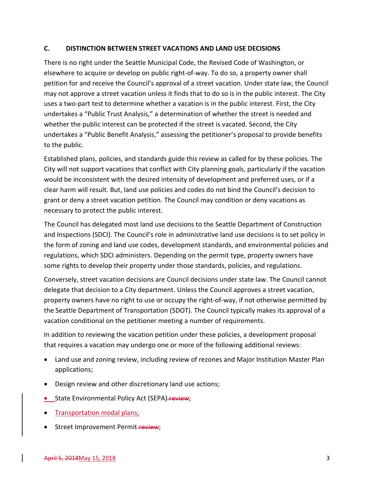#### <span id="page-4-0"></span>**C. DISTINCTION BETWEEN STREET VACATIONS AND LAND USE DECISIONS**

There is no right under the Seattle Municipal Code, the Revised Code of Washington, or elsewhere to acquire or develop on public right-of-way. To do so, a property owner shall petition for and receive the Council's approval of a street vacation. Under state law, the Council may not approve a street vacation unless it finds that to do so is in the public interest. The City uses a two-part test to determine whether a vacation is in the public interest. First, the City undertakes a "Public Trust Analysis," a determination of whether the street is needed and whether the public interest can be protected if the street is vacated. Second, the City undertakes a "Public Benefit Analysis," assessing the petitioner's proposal to provide benefits to the public.

Established plans, policies, and standards guide this review as called for by these policies. The City will not support vacations that conflict with City planning goals, particularly if the vacation would be inconsistent with the desired intensity of development and preferred uses, or if a clear harm will result. But, land use policies and codes do not bind the Council's decision to grant or deny a street vacation petition. The Council may condition or deny vacations as necessary to protect the public interest.

The Council has delegated most land use decisions to the Seattle Department of Construction and Inspections (SDCI). The Council's role in administrative land use decisions is to set policy in the form of zoning and land use codes, development standards, and environmental policies and regulations, which SDCI administers. Depending on the permit type, property owners have some rights to develop their property under those standards, policies, and regulations.

Conversely, street vacation decisions are Council decisions under state law. The Council cannot delegate that decision to a City department. Unless the Council approves a street vacation, property owners have no right to use or occupy the right-of-way, if not otherwise permitted by the Seattle Department of Transportation (SDOT). The Council typically makes its approval of a vacation conditional on the petitioner meeting a number of requirements.

In addition to reviewing the vacation petition under these policies, a development proposal that requires a vacation may undergo one or more of the following additional reviews:

- Land use and zoning review, including review of rezones and Major Institution Master Plan applications;
- Design review and other discretionary land use actions;
- State Environmental Policy Act (SEPA)-review;
- Transportation modal plans;
- Street Improvement Permit-review;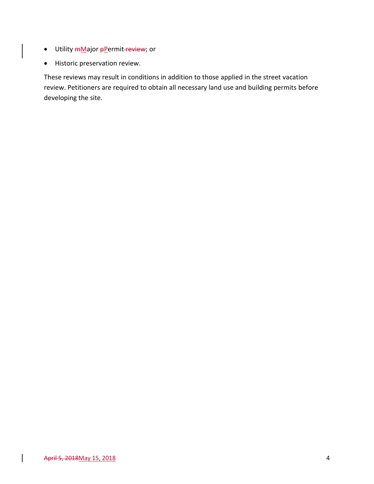- Utility mMajor pPermit-review; or
- Historic preservation review.

These reviews may result in conditions in addition to those applied in the street vacation review. Petitioners are required to obtain all necessary land use and building permits before developing the site.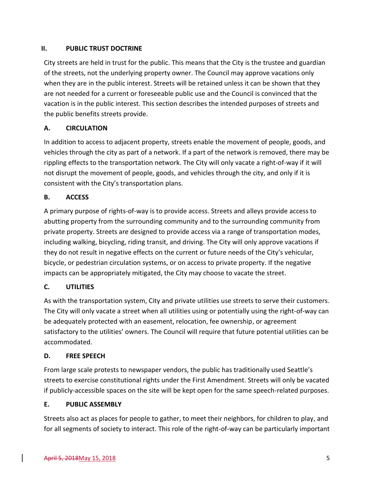### <span id="page-6-0"></span>**II. PUBLIC TRUST DOCTRINE**

City streets are held in trust for the public. This means that the City is the trustee and guardian of the streets, not the underlying property owner. The Council may approve vacations only when they are in the public interest. Streets will be retained unless it can be shown that they are not needed for a current or foreseeable public use and the Council is convinced that the vacation is in the public interest. This section describes the intended purposes of streets and the public benefits streets provide.

# **A. CIRCULATION**

In addition to access to adjacent property, streets enable the movement of people, goods, and vehicles through the city as part of a network. If a part of the network is removed, there may be rippling effects to the transportation network. The City will only vacate a right-of-way if it will not disrupt the movement of people, goods, and vehicles through the city, and only if it is consistent with the City's transportation plans.

# **B. ACCESS**

A primary purpose of rights-of-way is to provide access. Streets and alleys provide access to abutting property from the surrounding community and to the surrounding community from private property. Streets are designed to provide access via a range of transportation modes, including walking, bicycling, riding transit, and driving. The City will only approve vacations if they do not result in negative effects on the current or future needs of the City's vehicular, bicycle, or pedestrian circulation systems, or on access to private property. If the negative impacts can be appropriately mitigated, the City may choose to vacate the street.

#### **C. UTILITIES**

As with the transportation system, City and private utilities use streets to serve their customers. The City will only vacate a street when all utilities using or potentially using the right-of-way can be adequately protected with an easement, relocation, fee ownership, or agreement satisfactory to the utilities' owners. The Council will require that future potential utilities can be accommodated.

#### **D. FREE SPEECH**

From large scale protests to newspaper vendors, the public has traditionally used Seattle's streets to exercise constitutional rights under the First Amendment. Streets will only be vacated if publicly-accessible spaces on the site will be kept open for the same speech-related purposes.

#### **E. PUBLIC ASSEMBLY**

Streets also act as places for people to gather, to meet their neighbors, for children to play, and for all segments of society to interact. This role of the right-of-way can be particularly important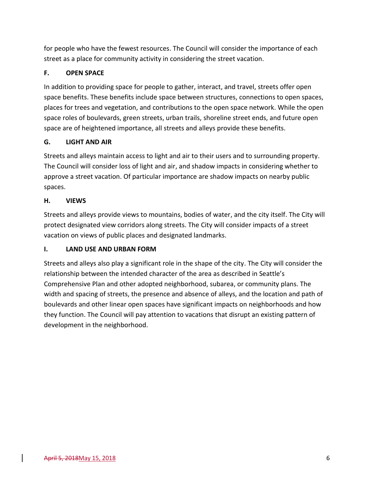for people who have the fewest resources. The Council will consider the importance of each street as a place for community activity in considering the street vacation.

# **F. OPEN SPACE**

In addition to providing space for people to gather, interact, and travel, streets offer open space benefits. These benefits include space between structures, connections to open spaces, places for trees and vegetation, and contributions to the open space network. While the open space roles of boulevards, green streets, urban trails, shoreline street ends, and future open space are of heightened importance, all streets and alleys provide these benefits.

# **G. LIGHT AND AIR**

Streets and alleys maintain access to light and air to their users and to surrounding property. The Council will consider loss of light and air, and shadow impacts in considering whether to approve a street vacation. Of particular importance are shadow impacts on nearby public spaces.

#### **H. VIEWS**

Streets and alleys provide views to mountains, bodies of water, and the city itself. The City will protect designated view corridors along streets. The City will consider impacts of a street vacation on views of public places and designated landmarks.

#### **I. LAND USE AND URBAN FORM**

Streets and alleys also play a significant role in the shape of the city. The City will consider the relationship between the intended character of the area as described in Seattle's Comprehensive Plan and other adopted neighborhood, subarea, or community plans. The width and spacing of streets, the presence and absence of alleys, and the location and path of boulevards and other linear open spaces have significant impacts on neighborhoods and how they function. The Council will pay attention to vacations that disrupt an existing pattern of development in the neighborhood.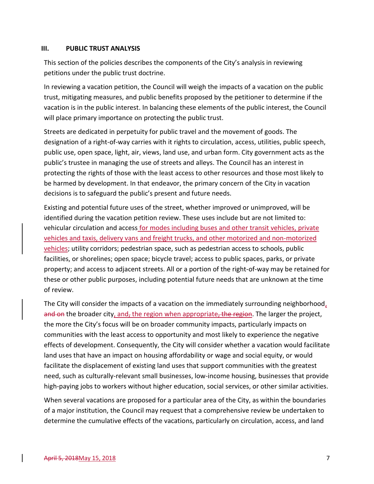#### <span id="page-8-0"></span>**III. PUBLIC TRUST ANALYSIS**

This section of the policies describes the components of the City's analysis in reviewing petitions under the public trust doctrine.

In reviewing a vacation petition, the Council will weigh the impacts of a vacation on the public trust, mitigating measures, and public benefits proposed by the petitioner to determine if the vacation is in the public interest. In balancing these elements of the public interest, the Council will place primary importance on protecting the public trust.

Streets are dedicated in perpetuity for public travel and the movement of goods. The designation of a right-of-way carries with it rights to circulation, access, utilities, public speech, public use, open space, light, air, views, land use, and urban form. City government acts as the public's trustee in managing the use of streets and alleys. The Council has an interest in protecting the rights of those with the least access to other resources and those most likely to be harmed by development. In that endeavor, the primary concern of the City in vacation decisions is to safeguard the public's present and future needs.

Existing and potential future uses of the street, whether improved or unimproved, will be identified during the vacation petition review. These uses include but are not limited to: vehicular circulation and access for modes including buses and other transit vehicles, private vehicles and taxis, delivery vans and freight trucks, and other motorized and non-motorized vehicles; utility corridors; pedestrian space, such as pedestrian access to schools, public facilities, or shorelines; open space; bicycle travel; access to public spaces, parks, or private property; and access to adjacent streets. All or a portion of the right-of-way may be retained for these or other public purposes, including potential future needs that are unknown at the time of review.

The City will consider the impacts of a vacation on the immediately surrounding neighborhood, and on the broader city, and, the region when appropriate, the region. The larger the project, the more the City's focus will be on broader community impacts, particularly impacts on communities with the least access to opportunity and most likely to experience the negative effects of development. Consequently, the City will consider whether a vacation would facilitate land uses that have an impact on housing affordability or wage and social equity, or would facilitate the displacement of existing land uses that support communities with the greatest need, such as culturally-relevant small businesses, low-income housing, businesses that provide high-paying jobs to workers without higher education, social services, or other similar activities.

When several vacations are proposed for a particular area of the City, as within the boundaries of a major institution, the Council may request that a comprehensive review be undertaken to determine the cumulative effects of the vacations, particularly on circulation, access, and land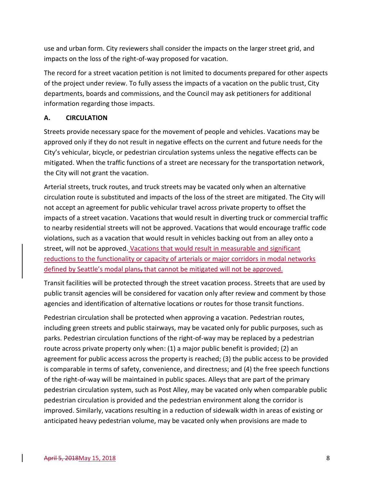use and urban form. City reviewers shall consider the impacts on the larger street grid, and impacts on the loss of the right-of-way proposed for vacation.

The record for a street vacation petition is not limited to documents prepared for other aspects of the project under review. To fully assess the impacts of a vacation on the public trust, City departments, boards and commissions, and the Council may ask petitioners for additional information regarding those impacts.

#### <span id="page-9-0"></span>**A. CIRCULATION**

Streets provide necessary space for the movement of people and vehicles. Vacations may be approved only if they do not result in negative effects on the current and future needs for the City's vehicular, bicycle, or pedestrian circulation systems unless the negative effects can be mitigated. When the traffic functions of a street are necessary for the transportation network, the City will not grant the vacation.

Arterial streets, truck routes, and truck streets may be vacated only when an alternative circulation route is substituted and impacts of the loss of the street are mitigated. The City will not accept an agreement for public vehicular travel across private property to offset the impacts of a street vacation. Vacations that would result in diverting truck or commercial traffic to nearby residential streets will not be approved. Vacations that would encourage traffic code violations, such as a vacation that would result in vehicles backing out from an alley onto a street, will not be approved. Vacations that would result in measurable and significant reductions to the functionality or capacity of arterials or major corridors in modal networks defined by Seattle's modal plans, that cannot be mitigated will not be approved.

Transit facilities will be protected through the street vacation process. Streets that are used by public transit agencies will be considered for vacation only after review and comment by those agencies and identification of alternative locations or routes for those transit functions.

Pedestrian circulation shall be protected when approving a vacation. Pedestrian routes, including green streets and public stairways, may be vacated only for public purposes, such as parks. Pedestrian circulation functions of the right-of-way may be replaced by a pedestrian route across private property only when: (1) a major public benefit is provided; (2) an agreement for public access across the property is reached; (3) the public access to be provided is comparable in terms of safety, convenience, and directness; and (4) the free speech functions of the right-of-way will be maintained in public spaces. Alleys that are part of the primary pedestrian circulation system, such as Post Alley, may be vacated only when comparable public pedestrian circulation is provided and the pedestrian environment along the corridor is improved. Similarly, vacations resulting in a reduction of sidewalk width in areas of existing or anticipated heavy pedestrian volume, may be vacated only when provisions are made to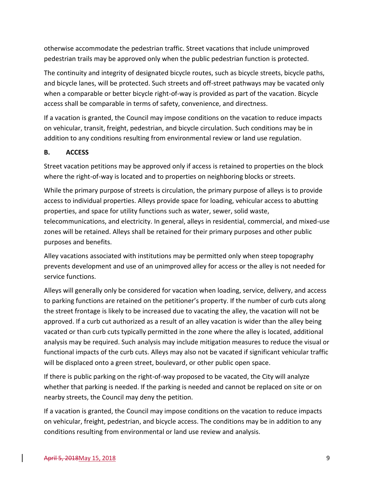otherwise accommodate the pedestrian traffic. Street vacations that include unimproved pedestrian trails may be approved only when the public pedestrian function is protected.

The continuity and integrity of designated bicycle routes, such as bicycle streets, bicycle paths, and bicycle lanes, will be protected. Such streets and off-street pathways may be vacated only when a comparable or better bicycle right-of-way is provided as part of the vacation. Bicycle access shall be comparable in terms of safety, convenience, and directness.

If a vacation is granted, the Council may impose conditions on the vacation to reduce impacts on vehicular, transit, freight, pedestrian, and bicycle circulation. Such conditions may be in addition to any conditions resulting from environmental review or land use regulation.

#### <span id="page-10-0"></span>**B. ACCESS**

Street vacation petitions may be approved only if access is retained to properties on the block where the right-of-way is located and to properties on neighboring blocks or streets.

While the primary purpose of streets is circulation, the primary purpose of alleys is to provide access to individual properties. Alleys provide space for loading, vehicular access to abutting properties, and space for utility functions such as water, sewer, solid waste, telecommunications, and electricity. In general, alleys in residential, commercial, and mixed-use zones will be retained. Alleys shall be retained for their primary purposes and other public purposes and benefits.

Alley vacations associated with institutions may be permitted only when steep topography prevents development and use of an unimproved alley for access or the alley is not needed for service functions.

Alleys will generally only be considered for vacation when loading, service, delivery, and access to parking functions are retained on the petitioner's property. If the number of curb cuts along the street frontage is likely to be increased due to vacating the alley, the vacation will not be approved. If a curb cut authorized as a result of an alley vacation is wider than the alley being vacated or than curb cuts typically permitted in the zone where the alley is located, additional analysis may be required. Such analysis may include mitigation measures to reduce the visual or functional impacts of the curb cuts. Alleys may also not be vacated if significant vehicular traffic will be displaced onto a green street, boulevard, or other public open space.

If there is public parking on the right-of-way proposed to be vacated, the City will analyze whether that parking is needed. If the parking is needed and cannot be replaced on site or on nearby streets, the Council may deny the petition.

If a vacation is granted, the Council may impose conditions on the vacation to reduce impacts on vehicular, freight, pedestrian, and bicycle access. The conditions may be in addition to any conditions resulting from environmental or land use review and analysis.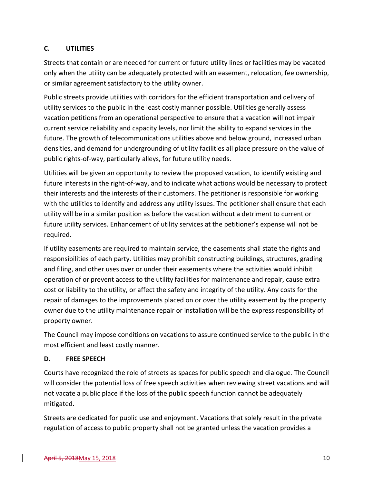# <span id="page-11-0"></span>**C. UTILITIES**

Streets that contain or are needed for current or future utility lines or facilities may be vacated only when the utility can be adequately protected with an easement, relocation, fee ownership, or similar agreement satisfactory to the utility owner.

Public streets provide utilities with corridors for the efficient transportation and delivery of utility services to the public in the least costly manner possible. Utilities generally assess vacation petitions from an operational perspective to ensure that a vacation will not impair current service reliability and capacity levels, nor limit the ability to expand services in the future. The growth of telecommunications utilities above and below ground, increased urban densities, and demand for undergrounding of utility facilities all place pressure on the value of public rights-of-way, particularly alleys, for future utility needs.

Utilities will be given an opportunity to review the proposed vacation, to identify existing and future interests in the right-of-way, and to indicate what actions would be necessary to protect their interests and the interests of their customers. The petitioner is responsible for working with the utilities to identify and address any utility issues. The petitioner shall ensure that each utility will be in a similar position as before the vacation without a detriment to current or future utility services. Enhancement of utility services at the petitioner's expense will not be required.

If utility easements are required to maintain service, the easements shall state the rights and responsibilities of each party. Utilities may prohibit constructing buildings, structures, grading and filing, and other uses over or under their easements where the activities would inhibit operation of or prevent access to the utility facilities for maintenance and repair, cause extra cost or liability to the utility, or affect the safety and integrity of the utility. Any costs for the repair of damages to the improvements placed on or over the utility easement by the property owner due to the utility maintenance repair or installation will be the express responsibility of property owner.

The Council may impose conditions on vacations to assure continued service to the public in the most efficient and least costly manner.

#### <span id="page-11-1"></span>**D. FREE SPEECH**

Courts have recognized the role of streets as spaces for public speech and dialogue. The Council will consider the potential loss of free speech activities when reviewing street vacations and will not vacate a public place if the loss of the public speech function cannot be adequately mitigated.

Streets are dedicated for public use and enjoyment. Vacations that solely result in the private regulation of access to public property shall not be granted unless the vacation provides a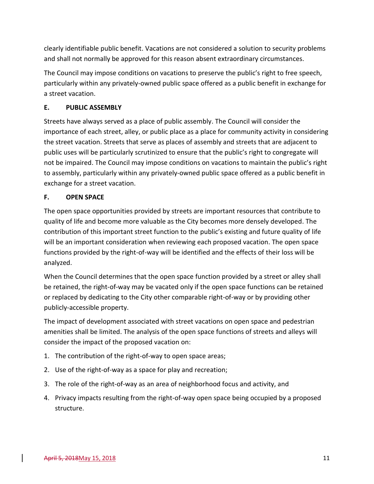clearly identifiable public benefit. Vacations are not considered a solution to security problems and shall not normally be approved for this reason absent extraordinary circumstances.

The Council may impose conditions on vacations to preserve the public's right to free speech, particularly within any privately-owned public space offered as a public benefit in exchange for a street vacation.

#### <span id="page-12-0"></span>**E. PUBLIC ASSEMBLY**

Streets have always served as a place of public assembly. The Council will consider the importance of each street, alley, or public place as a place for community activity in considering the street vacation. Streets that serve as places of assembly and streets that are adjacent to public uses will be particularly scrutinized to ensure that the public's right to congregate will not be impaired. The Council may impose conditions on vacations to maintain the public's right to assembly, particularly within any privately-owned public space offered as a public benefit in exchange for a street vacation.

# <span id="page-12-1"></span>**F. OPEN SPACE**

The open space opportunities provided by streets are important resources that contribute to quality of life and become more valuable as the City becomes more densely developed. The contribution of this important street function to the public's existing and future quality of life will be an important consideration when reviewing each proposed vacation. The open space functions provided by the right-of-way will be identified and the effects of their loss will be analyzed.

When the Council determines that the open space function provided by a street or alley shall be retained, the right-of-way may be vacated only if the open space functions can be retained or replaced by dedicating to the City other comparable right-of-way or by providing other publicly-accessible property.

The impact of development associated with street vacations on open space and pedestrian amenities shall be limited. The analysis of the open space functions of streets and alleys will consider the impact of the proposed vacation on:

- 1. The contribution of the right-of-way to open space areas;
- 2. Use of the right-of-way as a space for play and recreation;
- 3. The role of the right-of-way as an area of neighborhood focus and activity, and
- 4. Privacy impacts resulting from the right-of-way open space being occupied by a proposed structure.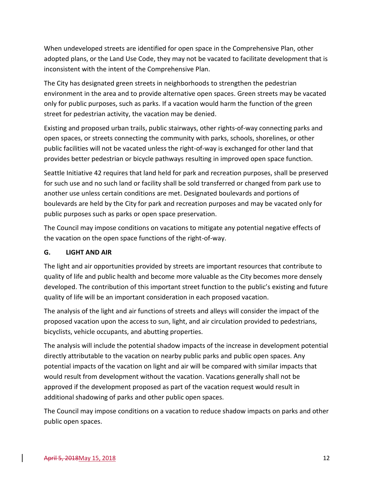When undeveloped streets are identified for open space in the Comprehensive Plan, other adopted plans, or the Land Use Code, they may not be vacated to facilitate development that is inconsistent with the intent of the Comprehensive Plan.

The City has designated green streets in neighborhoods to strengthen the pedestrian environment in the area and to provide alternative open spaces. Green streets may be vacated only for public purposes, such as parks. If a vacation would harm the function of the green street for pedestrian activity, the vacation may be denied.

Existing and proposed urban trails, public stairways, other rights-of-way connecting parks and open spaces, or streets connecting the community with parks, schools, shorelines, or other public facilities will not be vacated unless the right-of-way is exchanged for other land that provides better pedestrian or bicycle pathways resulting in improved open space function.

Seattle Initiative 42 requires that land held for park and recreation purposes, shall be preserved for such use and no such land or facility shall be sold transferred or changed from park use to another use unless certain conditions are met. Designated boulevards and portions of boulevards are held by the City for park and recreation purposes and may be vacated only for public purposes such as parks or open space preservation.

The Council may impose conditions on vacations to mitigate any potential negative effects of the vacation on the open space functions of the right-of-way.

# <span id="page-13-0"></span>**G. LIGHT AND AIR**

The light and air opportunities provided by streets are important resources that contribute to quality of life and public health and become more valuable as the City becomes more densely developed. The contribution of this important street function to the public's existing and future quality of life will be an important consideration in each proposed vacation.

The analysis of the light and air functions of streets and alleys will consider the impact of the proposed vacation upon the access to sun, light, and air circulation provided to pedestrians, bicyclists, vehicle occupants, and abutting properties.

The analysis will include the potential shadow impacts of the increase in development potential directly attributable to the vacation on nearby public parks and public open spaces. Any potential impacts of the vacation on light and air will be compared with similar impacts that would result from development without the vacation. Vacations generally shall not be approved if the development proposed as part of the vacation request would result in additional shadowing of parks and other public open spaces.

The Council may impose conditions on a vacation to reduce shadow impacts on parks and other public open spaces.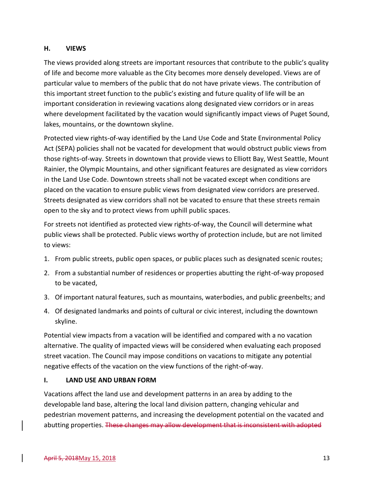#### <span id="page-14-0"></span>**H. VIEWS**

The views provided along streets are important resources that contribute to the public's quality of life and become more valuable as the City becomes more densely developed. Views are of particular value to members of the public that do not have private views. The contribution of this important street function to the public's existing and future quality of life will be an important consideration in reviewing vacations along designated view corridors or in areas where development facilitated by the vacation would significantly impact views of Puget Sound, lakes, mountains, or the downtown skyline.

Protected view rights-of-way identified by the Land Use Code and State Environmental Policy Act (SEPA) policies shall not be vacated for development that would obstruct public views from those rights-of-way. Streets in downtown that provide views to Elliott Bay, West Seattle, Mount Rainier, the Olympic Mountains, and other significant features are designated as view corridors in the Land Use Code. Downtown streets shall not be vacated except when conditions are placed on the vacation to ensure public views from designated view corridors are preserved. Streets designated as view corridors shall not be vacated to ensure that these streets remain open to the sky and to protect views from uphill public spaces.

For streets not identified as protected view rights-of-way, the Council will determine what public views shall be protected. Public views worthy of protection include, but are not limited to views:

- 1. From public streets, public open spaces, or public places such as designated scenic routes;
- 2. From a substantial number of residences or properties abutting the right-of-way proposed to be vacated,
- 3. Of important natural features, such as mountains, waterbodies, and public greenbelts; and
- 4. Of designated landmarks and points of cultural or civic interest, including the downtown skyline.

Potential view impacts from a vacation will be identified and compared with a no vacation alternative. The quality of impacted views will be considered when evaluating each proposed street vacation. The Council may impose conditions on vacations to mitigate any potential negative effects of the vacation on the view functions of the right-of-way.

#### <span id="page-14-1"></span>**I. LAND USE AND URBAN FORM**

Vacations affect the land use and development patterns in an area by adding to the developable land base, altering the local land division pattern, changing vehicular and pedestrian movement patterns, and increasing the development potential on the vacated and abutting properties. These changes may allow development that is inconsistent with adopted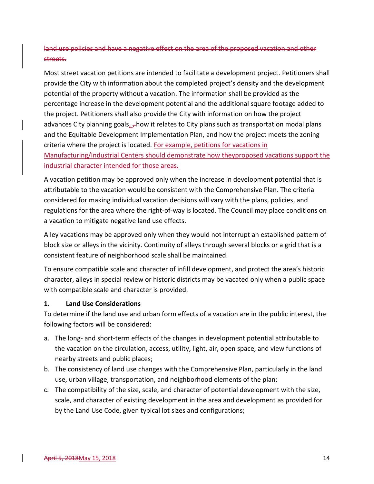# land use policies and have a negative effect on the area of the proposed vacation and other streets.

Most street vacation petitions are intended to facilitate a development project. Petitioners shall provide the City with information about the completed project's density and the development potential of the property without a vacation. The information shall be provided as the percentage increase in the development potential and the additional square footage added to the project. Petitioners shall also provide the City with information on how the project advances City planning goals,  $\tau$ how it relates to City plans such as transportation modal plans and the Equitable Development Implementation Plan, and how the project meets the zoning criteria where the project is located. For example, petitions for vacations in Manufacturing/Industrial Centers should demonstrate how the yproposed vacations support the industrial character intended for those areas.

A vacation petition may be approved only when the increase in development potential that is attributable to the vacation would be consistent with the Comprehensive Plan. The criteria considered for making individual vacation decisions will vary with the plans, policies, and regulations for the area where the right-of-way is located. The Council may place conditions on a vacation to mitigate negative land use effects.

Alley vacations may be approved only when they would not interrupt an established pattern of block size or alleys in the vicinity. Continuity of alleys through several blocks or a grid that is a consistent feature of neighborhood scale shall be maintained.

To ensure compatible scale and character of infill development, and protect the area's historic character, alleys in special review or historic districts may be vacated only when a public space with compatible scale and character is provided.

#### **1. Land Use Considerations**

To determine if the land use and urban form effects of a vacation are in the public interest, the following factors will be considered:

- a. The long- and short-term effects of the changes in development potential attributable to the vacation on the circulation, access, utility, light, air, open space, and view functions of nearby streets and public places;
- b. The consistency of land use changes with the Comprehensive Plan, particularly in the land use, urban village, transportation, and neighborhood elements of the plan;
- c. The compatibility of the size, scale, and character of potential development with the size, scale, and character of existing development in the area and development as provided for by the Land Use Code, given typical lot sizes and configurations;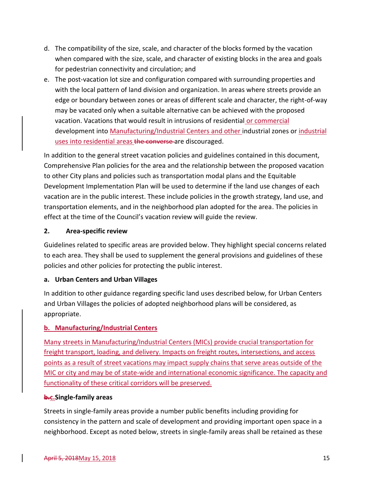- d. The compatibility of the size, scale, and character of the blocks formed by the vacation when compared with the size, scale, and character of existing blocks in the area and goals for pedestrian connectivity and circulation; and
- e. The post-vacation lot size and configuration compared with surrounding properties and with the local pattern of land division and organization. In areas where streets provide an edge or boundary between zones or areas of different scale and character, the right-of-way may be vacated only when a suitable alternative can be achieved with the proposed vacation. Vacations that would result in intrusions of residential or commercial development into Manufacturing/Industrial Centers and other industrial zones or industrial uses into residential areas the converse are discouraged.

In addition to the general street vacation policies and guidelines contained in this document, Comprehensive Plan policies for the area and the relationship between the proposed vacation to other City plans and policies such as transportation modal plans and the Equitable Development Implementation Plan will be used to determine if the land use changes of each vacation are in the public interest. These include policies in the growth strategy, land use, and transportation elements, and in the neighborhood plan adopted for the area. The policies in effect at the time of the Council's vacation review will guide the review.

#### **2. Area-specific review**

Guidelines related to specific areas are provided below. They highlight special concerns related to each area. They shall be used to supplement the general provisions and guidelines of these policies and other policies for protecting the public interest.

#### **a. Urban Centers and Urban Villages**

In addition to other guidance regarding specific land uses described below, for Urban Centers and Urban Villages the policies of adopted neighborhood plans will be considered, as appropriate.

#### **b. Manufacturing/Industrial Centers**

Many streets in Manufacturing/Industrial Centers (MICs) provide crucial transportation for freight transport, loading, and delivery. Impacts on freight routes, intersections, and access points as a result of street vacations may impact supply chains that serve areas outside of the MIC or city and may be of state-wide and international economic significance. The capacity and functionality of these critical corridors will be preserved.

#### **b.c.Single-family areas**

Streets in single-family areas provide a number public benefits including providing for consistency in the pattern and scale of development and providing important open space in a neighborhood. Except as noted below, streets in single-family areas shall be retained as these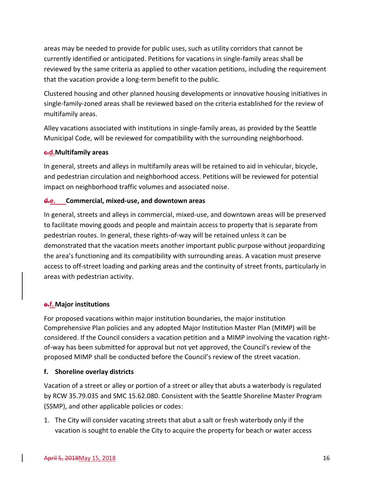areas may be needed to provide for public uses, such as utility corridors that cannot be currently identified or anticipated. Petitions for vacations in single-family areas shall be reviewed by the same criteria as applied to other vacation petitions, including the requirement that the vacation provide a long-term benefit to the public.

Clustered housing and other planned housing developments or innovative housing initiatives in single-family-zoned areas shall be reviewed based on the criteria established for the review of multifamily areas.

Alley vacations associated with institutions in single-family areas, as provided by the Seattle Municipal Code, will be reviewed for compatibility with the surrounding neighborhood.

#### **c.d.Multifamily areas**

In general, streets and alleys in multifamily areas will be retained to aid in vehicular, bicycle, and pedestrian circulation and neighborhood access. Petitions will be reviewed for potential impact on neighborhood traffic volumes and associated noise.

#### **d.e. Commercial, mixed-use, and downtown areas**

In general, streets and alleys in commercial, mixed-use, and downtown areas will be preserved to facilitate moving goods and people and maintain access to property that is separate from pedestrian routes. In general, these rights-of-way will be retained unless it can be demonstrated that the vacation meets another important public purpose without jeopardizing the area's functioning and its compatibility with surrounding areas. A vacation must preserve access to off-street loading and parking areas and the continuity of street fronts, particularly in areas with pedestrian activity.

#### **e.f.Major institutions**

For proposed vacations within major institution boundaries, the major institution Comprehensive Plan policies and any adopted Major Institution Master Plan (MIMP) will be considered. If the Council considers a vacation petition and a MIMP involving the vacation rightof-way has been submitted for approval but not yet approved, the Council's review of the proposed MIMP shall be conducted before the Council's review of the street vacation.

#### **f. Shoreline overlay districts**

Vacation of a street or alley or portion of a street or alley that abuts a waterbody is regulated by RCW 35.79.035 and SMC 15.62.080. Consistent with the Seattle Shoreline Master Program (SSMP), and other applicable policies or codes:

1. The City will consider vacating streets that abut a salt or fresh waterbody only if the vacation is sought to enable the City to acquire the property for beach or water access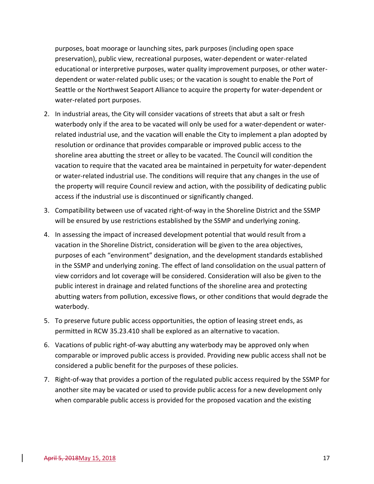purposes, boat moorage or launching sites, park purposes (including open space preservation), public view, recreational purposes, water-dependent or water-related educational or interpretive purposes, water quality improvement purposes, or other waterdependent or water-related public uses; or the vacation is sought to enable the Port of Seattle or the Northwest Seaport Alliance to acquire the property for water-dependent or water-related port purposes.

- 2. In industrial areas, the City will consider vacations of streets that abut a salt or fresh waterbody only if the area to be vacated will only be used for a water-dependent or waterrelated industrial use, and the vacation will enable the City to implement a plan adopted by resolution or ordinance that provides comparable or improved public access to the shoreline area abutting the street or alley to be vacated. The Council will condition the vacation to require that the vacated area be maintained in perpetuity for water-dependent or water-related industrial use. The conditions will require that any changes in the use of the property will require Council review and action, with the possibility of dedicating public access if the industrial use is discontinued or significantly changed.
- 3. Compatibility between use of vacated right-of-way in the Shoreline District and the SSMP will be ensured by use restrictions established by the SSMP and underlying zoning.
- 4. In assessing the impact of increased development potential that would result from a vacation in the Shoreline District, consideration will be given to the area objectives, purposes of each "environment" designation, and the development standards established in the SSMP and underlying zoning. The effect of land consolidation on the usual pattern of view corridors and lot coverage will be considered. Consideration will also be given to the public interest in drainage and related functions of the shoreline area and protecting abutting waters from pollution, excessive flows, or other conditions that would degrade the waterbody.
- 5. To preserve future public access opportunities, the option of leasing street ends, as permitted in RCW 35.23.410 shall be explored as an alternative to vacation.
- 6. Vacations of public right-of-way abutting any waterbody may be approved only when comparable or improved public access is provided. Providing new public access shall not be considered a public benefit for the purposes of these policies.
- 7. Right-of-way that provides a portion of the regulated public access required by the SSMP for another site may be vacated or used to provide public access for a new development only when comparable public access is provided for the proposed vacation and the existing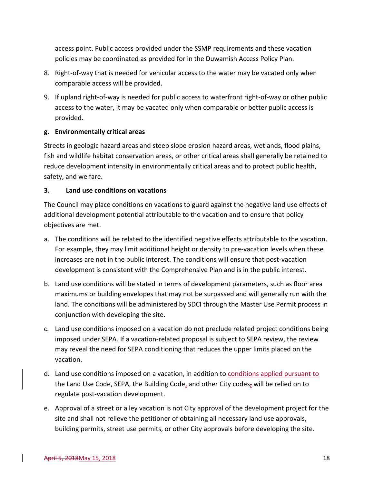access point. Public access provided under the SSMP requirements and these vacation policies may be coordinated as provided for in the Duwamish Access Policy Plan.

- 8. Right-of-way that is needed for vehicular access to the water may be vacated only when comparable access will be provided.
- 9. If upland right-of-way is needed for public access to waterfront right-of-way or other public access to the water, it may be vacated only when comparable or better public access is provided.

#### **g. Environmentally critical areas**

Streets in geologic hazard areas and steep slope erosion hazard areas, wetlands, flood plains, fish and wildlife habitat conservation areas, or other critical areas shall generally be retained to reduce development intensity in environmentally critical areas and to protect public health, safety, and welfare.

#### **3. Land use conditions on vacations**

The Council may place conditions on vacations to guard against the negative land use effects of additional development potential attributable to the vacation and to ensure that policy objectives are met.

- a. The conditions will be related to the identified negative effects attributable to the vacation. For example, they may limit additional height or density to pre-vacation levels when these increases are not in the public interest. The conditions will ensure that post-vacation development is consistent with the Comprehensive Plan and is in the public interest.
- b. Land use conditions will be stated in terms of development parameters, such as floor area maximums or building envelopes that may not be surpassed and will generally run with the land. The conditions will be administered by SDCI through the Master Use Permit process in conjunction with developing the site.
- c. Land use conditions imposed on a vacation do not preclude related project conditions being imposed under SEPA. If a vacation-related proposal is subject to SEPA review, the review may reveal the need for SEPA conditioning that reduces the upper limits placed on the vacation.
- d. Land use conditions imposed on a vacation, in addition to conditions applied pursuant to the Land Use Code, SEPA, the Building Code, and other City codes, will be relied on to regulate post-vacation development.
- e. Approval of a street or alley vacation is not City approval of the development project for the site and shall not relieve the petitioner of obtaining all necessary land use approvals, building permits, street use permits, or other City approvals before developing the site.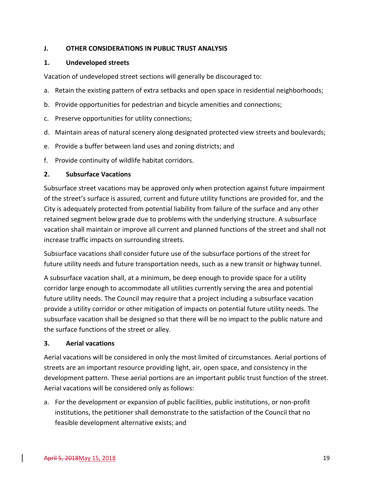#### <span id="page-20-0"></span>**J. OTHER CONSIDERATIONS IN PUBLIC TRUST ANALYSIS**

#### **1. Undeveloped streets**

Vacation of undeveloped street sections will generally be discouraged to:

- a. Retain the existing pattern of extra setbacks and open space in residential neighborhoods;
- b. Provide opportunities for pedestrian and bicycle amenities and connections;
- c. Preserve opportunities for utility connections;
- d. Maintain areas of natural scenery along designated protected view streets and boulevards;
- e. Provide a buffer between land uses and zoning districts; and
- f. Provide continuity of wildlife habitat corridors.

#### **2. Subsurface Vacations**

Subsurface street vacations may be approved only when protection against future impairment of the street's surface is assured, current and future utility functions are provided for, and the City is adequately protected from potential liability from failure of the surface and any other retained segment below grade due to problems with the underlying structure. A subsurface vacation shall maintain or improve all current and planned functions of the street and shall not increase traffic impacts on surrounding streets.

Subsurface vacations shall consider future use of the subsurface portions of the street for future utility needs and future transportation needs, such as a new transit or highway tunnel.

A subsurface vacation shall, at a minimum, be deep enough to provide space for a utility corridor large enough to accommodate all utilities currently serving the area and potential future utility needs. The Council may require that a project including a subsurface vacation provide a utility corridor or other mitigation of impacts on potential future utility needs. The subsurface vacation shall be designed so that there will be no impact to the public nature and the surface functions of the street or alley.

#### **3. Aerial vacations**

Aerial vacations will be considered in only the most limited of circumstances. Aerial portions of streets are an important resource providing light, air, open space, and consistency in the development pattern. These aerial portions are an important public trust function of the street. Aerial vacations will be considered only as follows:

a. For the development or expansion of public facilities, public institutions, or non-profit institutions, the petitioner shall demonstrate to the satisfaction of the Council that no feasible development alternative exists; and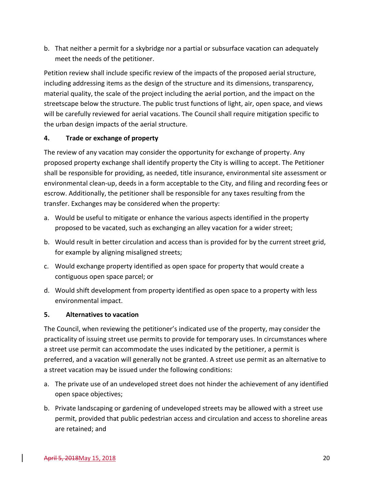b. That neither a permit for a skybridge nor a partial or subsurface vacation can adequately meet the needs of the petitioner.

Petition review shall include specific review of the impacts of the proposed aerial structure, including addressing items as the design of the structure and its dimensions, transparency, material quality, the scale of the project including the aerial portion, and the impact on the streetscape below the structure. The public trust functions of light, air, open space, and views will be carefully reviewed for aerial vacations. The Council shall require mitigation specific to the urban design impacts of the aerial structure.

#### **4. Trade or exchange of property**

The review of any vacation may consider the opportunity for exchange of property. Any proposed property exchange shall identify property the City is willing to accept. The Petitioner shall be responsible for providing, as needed, title insurance, environmental site assessment or environmental clean-up, deeds in a form acceptable to the City, and filing and recording fees or escrow. Additionally, the petitioner shall be responsible for any taxes resulting from the transfer. Exchanges may be considered when the property:

- a. Would be useful to mitigate or enhance the various aspects identified in the property proposed to be vacated, such as exchanging an alley vacation for a wider street;
- b. Would result in better circulation and access than is provided for by the current street grid, for example by aligning misaligned streets;
- c. Would exchange property identified as open space for property that would create a contiguous open space parcel; or
- d. Would shift development from property identified as open space to a property with less environmental impact.

#### **5. Alternatives to vacation**

The Council, when reviewing the petitioner's indicated use of the property, may consider the practicality of issuing street use permits to provide for temporary uses. In circumstances where a street use permit can accommodate the uses indicated by the petitioner, a permit is preferred, and a vacation will generally not be granted. A street use permit as an alternative to a street vacation may be issued under the following conditions:

- a. The private use of an undeveloped street does not hinder the achievement of any identified open space objectives;
- b. Private landscaping or gardening of undeveloped streets may be allowed with a street use permit, provided that public pedestrian access and circulation and access to shoreline areas are retained; and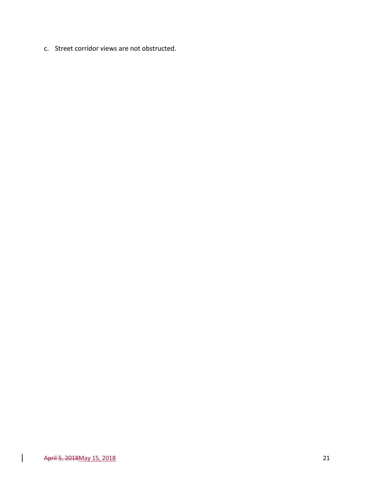c. Street corridor views are not obstructed.

 $\overline{\phantom{a}}$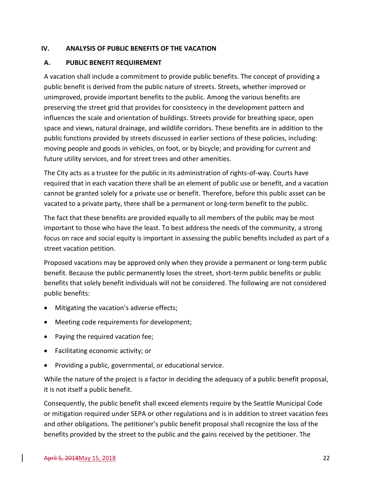#### <span id="page-23-0"></span>**IV. ANALYSIS OF PUBLIC BENEFITS OF THE VACATION**

### <span id="page-23-1"></span>**A. PUBLIC BENEFIT REQUIREMENT**

A vacation shall include a commitment to provide public benefits. The concept of providing a public benefit is derived from the public nature of streets. Streets, whether improved or unimproved, provide important benefits to the public. Among the various benefits are preserving the street grid that provides for consistency in the development pattern and influences the scale and orientation of buildings. Streets provide for breathing space, open space and views, natural drainage, and wildlife corridors. These benefits are in addition to the public functions provided by streets discussed in earlier sections of these policies, including: moving people and goods in vehicles, on foot, or by bicycle; and providing for current and future utility services, and for street trees and other amenities.

The City acts as a trustee for the public in its administration of rights-of-way. Courts have required that in each vacation there shall be an element of public use or benefit, and a vacation cannot be granted solely for a private use or benefit. Therefore, before this public asset can be vacated to a private party, there shall be a permanent or long-term benefit to the public.

The fact that these benefits are provided equally to all members of the public may be most important to those who have the least. To best address the needs of the community, a strong focus on race and social equity is important in assessing the public benefits included as part of a street vacation petition.

Proposed vacations may be approved only when they provide a permanent or long-term public benefit. Because the public permanently loses the street, short-term public benefits or public benefits that solely benefit individuals will not be considered. The following are not considered public benefits:

- Mitigating the vacation's adverse effects;
- Meeting code requirements for development;
- Paying the required vacation fee;
- Facilitating economic activity; or
- Providing a public, governmental, or educational service.

While the nature of the project is a factor in deciding the adequacy of a public benefit proposal, it is not itself a public benefit.

Consequently, the public benefit shall exceed elements require by the Seattle Municipal Code or mitigation required under SEPA or other regulations and is in addition to street vacation fees and other obligations. The petitioner's public benefit proposal shall recognize the loss of the benefits provided by the street to the public and the gains received by the petitioner. The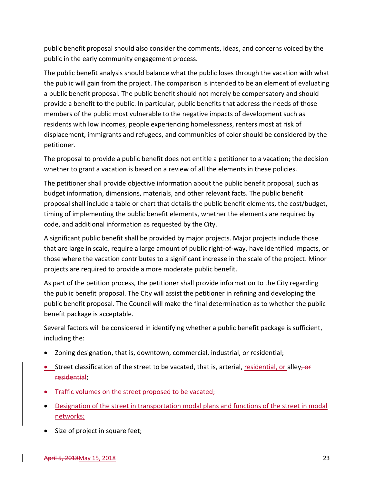public benefit proposal should also consider the comments, ideas, and concerns voiced by the public in the early community engagement process.

The public benefit analysis should balance what the public loses through the vacation with what the public will gain from the project. The comparison is intended to be an element of evaluating a public benefit proposal. The public benefit should not merely be compensatory and should provide a benefit to the public. In particular, public benefits that address the needs of those members of the public most vulnerable to the negative impacts of development such as residents with low incomes, people experiencing homelessness, renters most at risk of displacement, immigrants and refugees, and communities of color should be considered by the petitioner.

The proposal to provide a public benefit does not entitle a petitioner to a vacation; the decision whether to grant a vacation is based on a review of all the elements in these policies.

The petitioner shall provide objective information about the public benefit proposal, such as budget information, dimensions, materials, and other relevant facts. The public benefit proposal shall include a table or chart that details the public benefit elements, the cost/budget, timing of implementing the public benefit elements, whether the elements are required by code, and additional information as requested by the City.

A significant public benefit shall be provided by major projects. Major projects include those that are large in scale, require a large amount of public right-of-way, have identified impacts, or those where the vacation contributes to a significant increase in the scale of the project. Minor projects are required to provide a more moderate public benefit.

As part of the petition process, the petitioner shall provide information to the City regarding the public benefit proposal. The City will assist the petitioner in refining and developing the public benefit proposal. The Council will make the final determination as to whether the public benefit package is acceptable.

Several factors will be considered in identifying whether a public benefit package is sufficient, including the:

- Zoning designation, that is, downtown, commercial, industrial, or residential;
- Street classification of the street to be vacated, that is, arterial, residential, or alley,  $\Theta$ residential;
- Traffic volumes on the street proposed to be vacated;
- Designation of the street in transportation modal plans and functions of the street in modal networks;
- Size of project in square feet;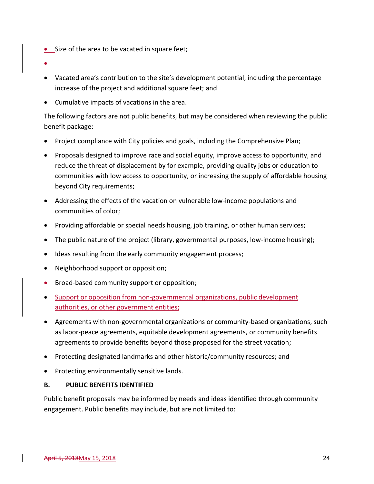• Size of the area to be vacated in square feet;

•

- Vacated area's contribution to the site's development potential, including the percentage increase of the project and additional square feet; and
- Cumulative impacts of vacations in the area.

The following factors are not public benefits, but may be considered when reviewing the public benefit package:

- Project compliance with City policies and goals, including the Comprehensive Plan;
- Proposals designed to improve race and social equity, improve access to opportunity, and reduce the threat of displacement by for example, providing quality jobs or education to communities with low access to opportunity, or increasing the supply of affordable housing beyond City requirements;
- Addressing the effects of the vacation on vulnerable low-income populations and communities of color;
- Providing affordable or special needs housing, job training, or other human services;
- The public nature of the project (library, governmental purposes, low-income housing);
- Ideas resulting from the early community engagement process;
- Neighborhood support or opposition;
- Broad-based community support or opposition;
- Support or opposition from non-governmental organizations, public development authorities, or other government entities;
- Agreements with non-governmental organizations or community-based organizations, such as labor-peace agreements, equitable development agreements, or community benefits agreements to provide benefits beyond those proposed for the street vacation;
- Protecting designated landmarks and other historic/community resources; and
- Protecting environmentally sensitive lands.

#### <span id="page-25-0"></span>**B. PUBLIC BENEFITS IDENTIFIED**

Public benefit proposals may be informed by needs and ideas identified through community engagement. Public benefits may include, but are not limited to: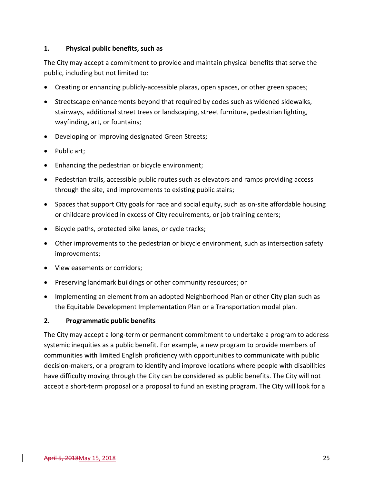#### **1. Physical public benefits, such as**

The City may accept a commitment to provide and maintain physical benefits that serve the public, including but not limited to:

- Creating or enhancing publicly-accessible plazas, open spaces, or other green spaces;
- Streetscape enhancements beyond that required by codes such as widened sidewalks, stairways, additional street trees or landscaping, street furniture, pedestrian lighting, wayfinding, art, or fountains;
- Developing or improving designated Green Streets;
- Public art;
- Enhancing the pedestrian or bicycle environment;
- Pedestrian trails, accessible public routes such as elevators and ramps providing access through the site, and improvements to existing public stairs;
- Spaces that support City goals for race and social equity, such as on-site affordable housing or childcare provided in excess of City requirements, or job training centers;
- Bicycle paths, protected bike lanes, or cycle tracks;
- Other improvements to the pedestrian or bicycle environment, such as intersection safety improvements;
- View easements or corridors;
- Preserving landmark buildings or other community resources; or
- Implementing an element from an adopted Neighborhood Plan or other City plan such as the Equitable Development Implementation Plan or a Transportation modal plan.

#### **2. Programmatic public benefits**

The City may accept a long-term or permanent commitment to undertake a program to address systemic inequities as a public benefit. For example, a new program to provide members of communities with limited English proficiency with opportunities to communicate with public decision-makers, or a program to identify and improve locations where people with disabilities have difficulty moving through the City can be considered as public benefits. The City will not accept a short-term proposal or a proposal to fund an existing program. The City will look for a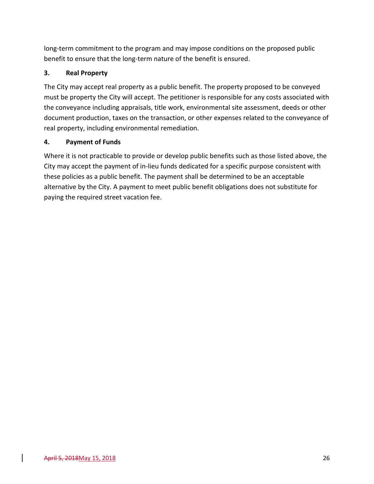long-term commitment to the program and may impose conditions on the proposed public benefit to ensure that the long-term nature of the benefit is ensured.

# **3. Real Property**

The City may accept real property as a public benefit. The property proposed to be conveyed must be property the City will accept. The petitioner is responsible for any costs associated with the conveyance including appraisals, title work, environmental site assessment, deeds or other document production, taxes on the transaction, or other expenses related to the conveyance of real property, including environmental remediation.

# **4. Payment of Funds**

Where it is not practicable to provide or develop public benefits such as those listed above, the City may accept the payment of in-lieu funds dedicated for a specific purpose consistent with these policies as a public benefit. The payment shall be determined to be an acceptable alternative by the City. A payment to meet public benefit obligations does not substitute for paying the required street vacation fee.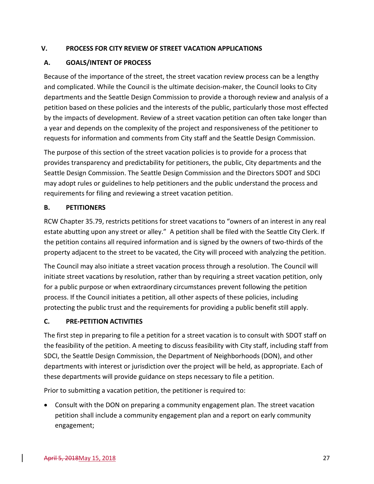#### <span id="page-28-0"></span>**V. PROCESS FOR CITY REVIEW OF STREET VACATION APPLICATIONS**

# <span id="page-28-1"></span>**A. GOALS/INTENT OF PROCESS**

Because of the importance of the street, the street vacation review process can be a lengthy and complicated. While the Council is the ultimate decision-maker, the Council looks to City departments and the Seattle Design Commission to provide a thorough review and analysis of a petition based on these policies and the interests of the public, particularly those most effected by the impacts of development. Review of a street vacation petition can often take longer than a year and depends on the complexity of the project and responsiveness of the petitioner to requests for information and comments from City staff and the Seattle Design Commission.

The purpose of this section of the street vacation policies is to provide for a process that provides transparency and predictability for petitioners, the public, City departments and the Seattle Design Commission. The Seattle Design Commission and the Directors SDOT and SDCI may adopt rules or guidelines to help petitioners and the public understand the process and requirements for filing and reviewing a street vacation petition.

#### <span id="page-28-2"></span>**B. PETITIONERS**

RCW Chapter 35.79, restricts petitions for street vacations to "owners of an interest in any real estate abutting upon any street or alley." A petition shall be filed with the Seattle City Clerk. If the petition contains all required information and is signed by the owners of two-thirds of the property adjacent to the street to be vacated, the City will proceed with analyzing the petition.

The Council may also initiate a street vacation process through a resolution. The Council will initiate street vacations by resolution, rather than by requiring a street vacation petition, only for a public purpose or when extraordinary circumstances prevent following the petition process. If the Council initiates a petition, all other aspects of these policies, including protecting the public trust and the requirements for providing a public benefit still apply.

#### <span id="page-28-3"></span>**C. PRE-PETITION ACTIVITIES**

The first step in preparing to file a petition for a street vacation is to consult with SDOT staff on the feasibility of the petition. A meeting to discuss feasibility with City staff, including staff from SDCI, the Seattle Design Commission, the Department of Neighborhoods (DON), and other departments with interest or jurisdiction over the project will be held, as appropriate. Each of these departments will provide guidance on steps necessary to file a petition.

Prior to submitting a vacation petition, the petitioner is required to:

• Consult with the DON on preparing a community engagement plan. The street vacation petition shall include a community engagement plan and a report on early community engagement;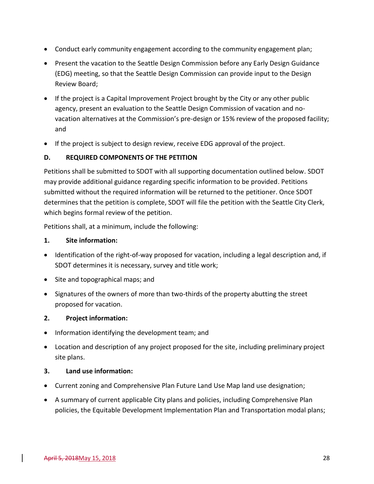- Conduct early community engagement according to the community engagement plan;
- Present the vacation to the Seattle Design Commission before any Early Design Guidance (EDG) meeting, so that the Seattle Design Commission can provide input to the Design Review Board;
- If the project is a Capital Improvement Project brought by the City or any other public agency, present an evaluation to the Seattle Design Commission of vacation and novacation alternatives at the Commission's pre-design or 15% review of the proposed facility; and
- If the project is subject to design review, receive EDG approval of the project.

#### <span id="page-29-0"></span>**D. REQUIRED COMPONENTS OF THE PETITION**

Petitions shall be submitted to SDOT with all supporting documentation outlined below. SDOT may provide additional guidance regarding specific information to be provided. Petitions submitted without the required information will be returned to the petitioner. Once SDOT determines that the petition is complete, SDOT will file the petition with the Seattle City Clerk, which begins formal review of the petition.

Petitions shall, at a minimum, include the following:

#### **1. Site information:**

- Identification of the right-of-way proposed for vacation, including a legal description and, if SDOT determines it is necessary, survey and title work;
- Site and topographical maps; and
- Signatures of the owners of more than two-thirds of the property abutting the street proposed for vacation.

#### **2. Project information:**

- Information identifying the development team; and
- Location and description of any project proposed for the site, including preliminary project site plans.

#### **3. Land use information:**

- Current zoning and Comprehensive Plan Future Land Use Map land use designation;
- A summary of current applicable City plans and policies, including Comprehensive Plan policies, the Equitable Development Implementation Plan and Transportation modal plans;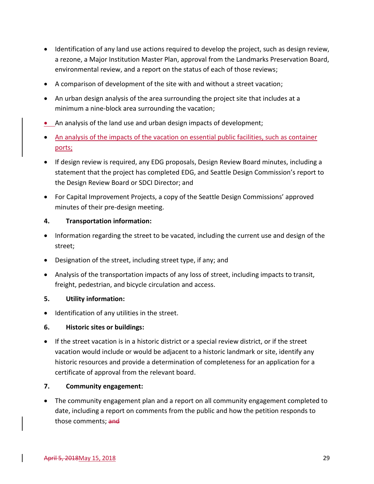- Identification of any land use actions required to develop the project, such as design review, a rezone, a Major Institution Master Plan, approval from the Landmarks Preservation Board, environmental review, and a report on the status of each of those reviews;
- A comparison of development of the site with and without a street vacation;
- An urban design analysis of the area surrounding the project site that includes at a minimum a nine-block area surrounding the vacation;
- An analysis of the land use and urban design impacts of development;
- An analysis of the impacts of the vacation on essential public facilities, such as container ports;
- If design review is required, any EDG proposals, Design Review Board minutes, including a statement that the project has completed EDG, and Seattle Design Commission's report to the Design Review Board or SDCI Director; and
- For Capital Improvement Projects, a copy of the Seattle Design Commissions' approved minutes of their pre-design meeting.

#### **4. Transportation information:**

- Information regarding the street to be vacated, including the current use and design of the street;
- Designation of the street, including street type, if any; and
- Analysis of the transportation impacts of any loss of street, including impacts to transit, freight, pedestrian, and bicycle circulation and access.

#### **5. Utility information:**

• Identification of any utilities in the street.

#### **6. Historic sites or buildings:**

• If the street vacation is in a historic district or a special review district, or if the street vacation would include or would be adjacent to a historic landmark or site, identify any historic resources and provide a determination of completeness for an application for a certificate of approval from the relevant board.

#### **7. Community engagement:**

• The community engagement plan and a report on all community engagement completed to date, including a report on comments from the public and how the petition responds to those comments; and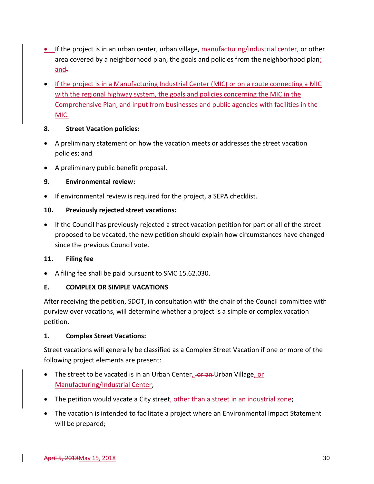- **•** If the project is in an urban center, urban village, manufacturing/industrial center, or other area covered by a neighborhood plan, the goals and policies from the neighborhood plan; and.
- If the project is in a Manufacturing Industrial Center (MIC) or on a route connecting a MIC with the regional highway system, the goals and policies concerning the MIC in the Comprehensive Plan, and input from businesses and public agencies with facilities in the MIC.

#### **8. Street Vacation policies:**

- A preliminary statement on how the vacation meets or addresses the street vacation policies; and
- A preliminary public benefit proposal.

# **9. Environmental review:**

• If environmental review is required for the project, a SEPA checklist.

# **10. Previously rejected street vacations:**

• If the Council has previously rejected a street vacation petition for part or all of the street proposed to be vacated, the new petition should explain how circumstances have changed since the previous Council vote.

# **11. Filing fee**

• A filing fee shall be paid pursuant to SMC 15.62.030.

# <span id="page-31-0"></span>**E. COMPLEX OR SIMPLE VACATIONS**

After receiving the petition, SDOT, in consultation with the chair of the Council committee with purview over vacations, will determine whether a project is a simple or complex vacation petition.

#### **1. Complex Street Vacations:**

Street vacations will generally be classified as a Complex Street Vacation if one or more of the following project elements are present:

- The street to be vacated is in an Urban Center, -or an-Urban Village, or Manufacturing/Industrial Center;
- The petition would vacate a City street, other than a street in an industrial zone;
- The vacation is intended to facilitate a project where an Environmental Impact Statement will be prepared;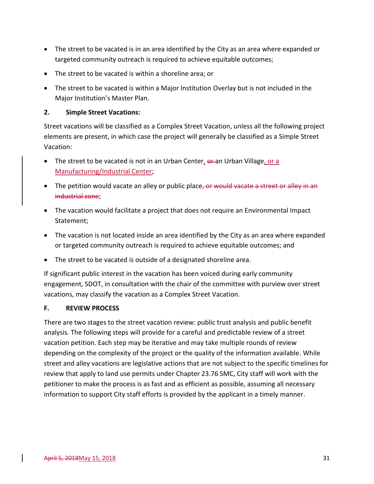- The street to be vacated is in an area identified by the City as an area where expanded or targeted community outreach is required to achieve equitable outcomes;
- The street to be vacated is within a shoreline area; or
- The street to be vacated is within a Major Institution Overlay but is not included in the Major Institution's Master Plan.

#### **2. Simple Street Vacations:**

Street vacations will be classified as a Complex Street Vacation, unless all the following project elements are present, in which case the project will generally be classified as a Simple Street Vacation:

- The street to be vacated is not in an Urban Center, or an Urban Village, or a Manufacturing/Industrial Center;
- The petition would vacate an alley or public place, or would vacate a street or alle industrial zone;
- The vacation would facilitate a project that does not require an Environmental Impact Statement;
- The vacation is not located inside an area identified by the City as an area where expanded or targeted community outreach is required to achieve equitable outcomes; and
- The street to be vacated is outside of a designated shoreline area.

If significant public interest in the vacation has been voiced during early community engagement, SDOT, in consultation with the chair of the committee with purview over street vacations, may classify the vacation as a Complex Street Vacation.

#### <span id="page-32-0"></span>**F. REVIEW PROCESS**

There are two stages to the street vacation review: public trust analysis and public benefit analysis. The following steps will provide for a careful and predictable review of a street vacation petition. Each step may be iterative and may take multiple rounds of review depending on the complexity of the project or the quality of the information available. While street and alley vacations are legislative actions that are not subject to the specific timelines for review that apply to land use permits under Chapter 23.76 SMC, City staff will work with the petitioner to make the process is as fast and as efficient as possible, assuming all necessary information to support City staff efforts is provided by the applicant in a timely manner.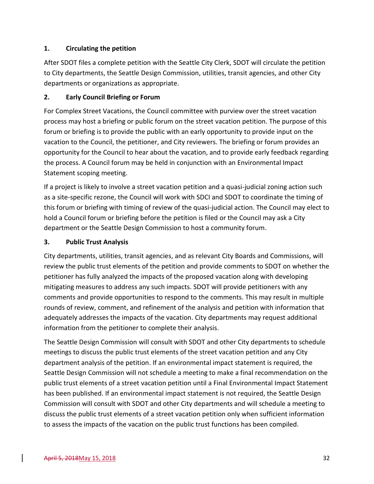# **1. Circulating the petition**

After SDOT files a complete petition with the Seattle City Clerk, SDOT will circulate the petition to City departments, the Seattle Design Commission, utilities, transit agencies, and other City departments or organizations as appropriate.

# **2. Early Council Briefing or Forum**

For Complex Street Vacations, the Council committee with purview over the street vacation process may host a briefing or public forum on the street vacation petition. The purpose of this forum or briefing is to provide the public with an early opportunity to provide input on the vacation to the Council, the petitioner, and City reviewers. The briefing or forum provides an opportunity for the Council to hear about the vacation, and to provide early feedback regarding the process. A Council forum may be held in conjunction with an Environmental Impact Statement scoping meeting.

If a project is likely to involve a street vacation petition and a quasi-judicial zoning action such as a site-specific rezone, the Council will work with SDCI and SDOT to coordinate the timing of this forum or briefing with timing of review of the quasi-judicial action. The Council may elect to hold a Council forum or briefing before the petition is filed or the Council may ask a City department or the Seattle Design Commission to host a community forum.

#### **3. Public Trust Analysis**

City departments, utilities, transit agencies, and as relevant City Boards and Commissions, will review the public trust elements of the petition and provide comments to SDOT on whether the petitioner has fully analyzed the impacts of the proposed vacation along with developing mitigating measures to address any such impacts. SDOT will provide petitioners with any comments and provide opportunities to respond to the comments. This may result in multiple rounds of review, comment, and refinement of the analysis and petition with information that adequately addresses the impacts of the vacation. City departments may request additional information from the petitioner to complete their analysis.

The Seattle Design Commission will consult with SDOT and other City departments to schedule meetings to discuss the public trust elements of the street vacation petition and any City department analysis of the petition. If an environmental impact statement is required, the Seattle Design Commission will not schedule a meeting to make a final recommendation on the public trust elements of a street vacation petition until a Final Environmental Impact Statement has been published. If an environmental impact statement is not required, the Seattle Design Commission will consult with SDOT and other City departments and will schedule a meeting to discuss the public trust elements of a street vacation petition only when sufficient information to assess the impacts of the vacation on the public trust functions has been compiled.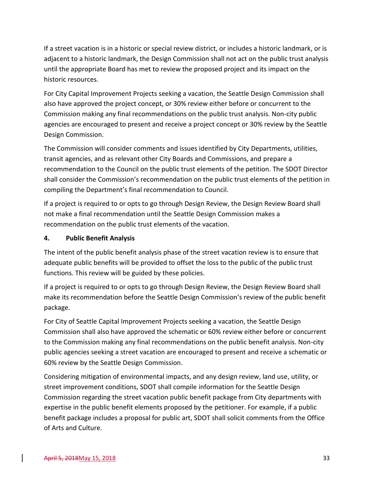If a street vacation is in a historic or special review district, or includes a historic landmark, or is adjacent to a historic landmark, the Design Commission shall not act on the public trust analysis until the appropriate Board has met to review the proposed project and its impact on the historic resources.

For City Capital Improvement Projects seeking a vacation, the Seattle Design Commission shall also have approved the project concept, or 30% review either before or concurrent to the Commission making any final recommendations on the public trust analysis. Non-city public agencies are encouraged to present and receive a project concept or 30% review by the Seattle Design Commission.

The Commission will consider comments and issues identified by City Departments, utilities, transit agencies, and as relevant other City Boards and Commissions, and prepare a recommendation to the Council on the public trust elements of the petition. The SDOT Director shall consider the Commission's recommendation on the public trust elements of the petition in compiling the Department's final recommendation to Council.

If a project is required to or opts to go through Design Review, the Design Review Board shall not make a final recommendation until the Seattle Design Commission makes a recommendation on the public trust elements of the vacation.

### **4. Public Benefit Analysis**

The intent of the public benefit analysis phase of the street vacation review is to ensure that adequate public benefits will be provided to offset the loss to the public of the public trust functions. This review will be guided by these policies.

If a project is required to or opts to go through Design Review, the Design Review Board shall make its recommendation before the Seattle Design Commission's review of the public benefit package.

For City of Seattle Capital Improvement Projects seeking a vacation, the Seattle Design Commission shall also have approved the schematic or 60% review either before or concurrent to the Commission making any final recommendations on the public benefit analysis. Non-city public agencies seeking a street vacation are encouraged to present and receive a schematic or 60% review by the Seattle Design Commission.

Considering mitigation of environmental impacts, and any design review, land use, utility, or street improvement conditions, SDOT shall compile information for the Seattle Design Commission regarding the street vacation public benefit package from City departments with expertise in the public benefit elements proposed by the petitioner. For example, if a public benefit package includes a proposal for public art, SDOT shall solicit comments from the Office of Arts and Culture.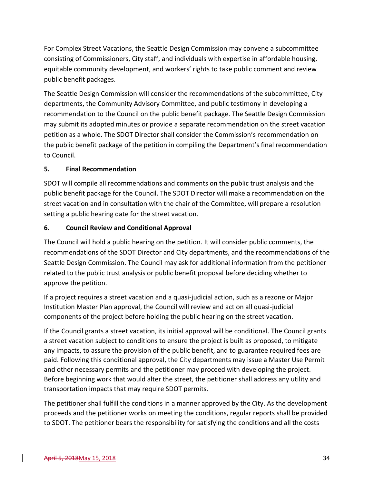For Complex Street Vacations, the Seattle Design Commission may convene a subcommittee consisting of Commissioners, City staff, and individuals with expertise in affordable housing, equitable community development, and workers' rights to take public comment and review public benefit packages.

The Seattle Design Commission will consider the recommendations of the subcommittee, City departments, the Community Advisory Committee, and public testimony in developing a recommendation to the Council on the public benefit package. The Seattle Design Commission may submit its adopted minutes or provide a separate recommendation on the street vacation petition as a whole. The SDOT Director shall consider the Commission's recommendation on the public benefit package of the petition in compiling the Department's final recommendation to Council.

#### **5. Final Recommendation**

SDOT will compile all recommendations and comments on the public trust analysis and the public benefit package for the Council. The SDOT Director will make a recommendation on the street vacation and in consultation with the chair of the Committee, will prepare a resolution setting a public hearing date for the street vacation.

#### **6. Council Review and Conditional Approval**

The Council will hold a public hearing on the petition. It will consider public comments, the recommendations of the SDOT Director and City departments, and the recommendations of the Seattle Design Commission. The Council may ask for additional information from the petitioner related to the public trust analysis or public benefit proposal before deciding whether to approve the petition.

If a project requires a street vacation and a quasi-judicial action, such as a rezone or Major Institution Master Plan approval, the Council will review and act on all quasi-judicial components of the project before holding the public hearing on the street vacation.

If the Council grants a street vacation, its initial approval will be conditional. The Council grants a street vacation subject to conditions to ensure the project is built as proposed, to mitigate any impacts, to assure the provision of the public benefit, and to guarantee required fees are paid. Following this conditional approval, the City departments may issue a Master Use Permit and other necessary permits and the petitioner may proceed with developing the project. Before beginning work that would alter the street, the petitioner shall address any utility and transportation impacts that may require SDOT permits.

The petitioner shall fulfill the conditions in a manner approved by the City. As the development proceeds and the petitioner works on meeting the conditions, regular reports shall be provided to SDOT. The petitioner bears the responsibility for satisfying the conditions and all the costs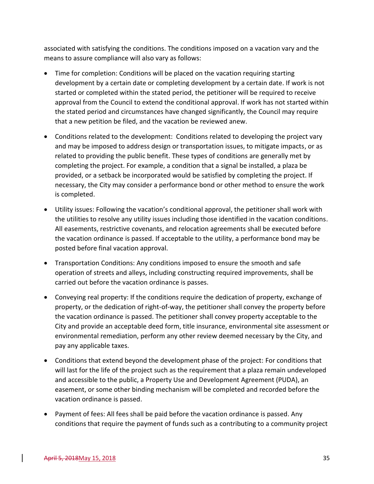associated with satisfying the conditions. The conditions imposed on a vacation vary and the means to assure compliance will also vary as follows:

- Time for completion: Conditions will be placed on the vacation requiring starting development by a certain date or completing development by a certain date. If work is not started or completed within the stated period, the petitioner will be required to receive approval from the Council to extend the conditional approval. If work has not started within the stated period and circumstances have changed significantly, the Council may require that a new petition be filed, and the vacation be reviewed anew.
- Conditions related to the development: Conditions related to developing the project vary and may be imposed to address design or transportation issues, to mitigate impacts, or as related to providing the public benefit. These types of conditions are generally met by completing the project. For example, a condition that a signal be installed, a plaza be provided, or a setback be incorporated would be satisfied by completing the project. If necessary, the City may consider a performance bond or other method to ensure the work is completed.
- Utility issues: Following the vacation's conditional approval, the petitioner shall work with the utilities to resolve any utility issues including those identified in the vacation conditions. All easements, restrictive covenants, and relocation agreements shall be executed before the vacation ordinance is passed. If acceptable to the utility, a performance bond may be posted before final vacation approval.
- Transportation Conditions: Any conditions imposed to ensure the smooth and safe operation of streets and alleys, including constructing required improvements, shall be carried out before the vacation ordinance is passes.
- Conveying real property: If the conditions require the dedication of property, exchange of property, or the dedication of right-of-way, the petitioner shall convey the property before the vacation ordinance is passed. The petitioner shall convey property acceptable to the City and provide an acceptable deed form, title insurance, environmental site assessment or environmental remediation, perform any other review deemed necessary by the City, and pay any applicable taxes.
- Conditions that extend beyond the development phase of the project: For conditions that will last for the life of the project such as the requirement that a plaza remain undeveloped and accessible to the public, a Property Use and Development Agreement (PUDA), an easement, or some other binding mechanism will be completed and recorded before the vacation ordinance is passed.
- Payment of fees: All fees shall be paid before the vacation ordinance is passed. Any conditions that require the payment of funds such as a contributing to a community project